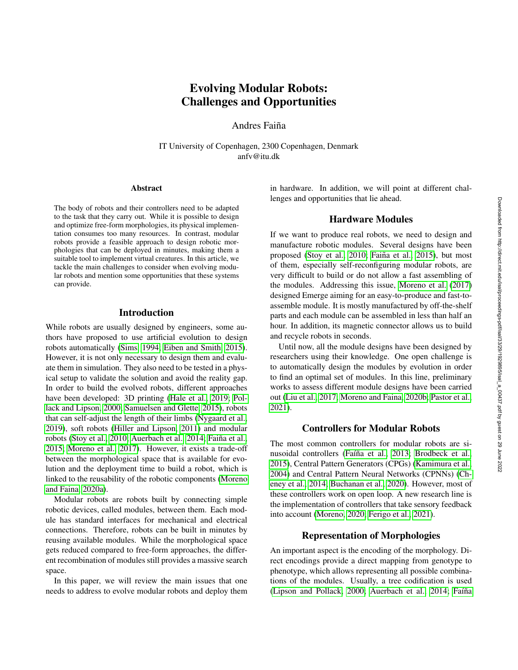# Evolving Modular Robots: Challenges and Opportunities

Andres Faiña

IT University of Copenhagen, 2300 Copenhagen, Denmark anfv@itu.dk

#### Abstract

The body of robots and their controllers need to be adapted to the task that they carry out. While it is possible to design and optimize free-form morphologies, its physical implementation consumes too many resources. In contrast, modular robots provide a feasible approach to design robotic morphologies that can be deployed in minutes, making them a suitable tool to implement virtual creatures. In this article, we tackle the main challenges to consider when evolving modular robots and mention some opportunities that these systems can provide.

# Introduction

While robots are usually designed by engineers, some authors have proposed to use artificial evolution to design robots automatically [\(Sims, 1994;](#page-3-0) [Eiben and Smith, 2015\)](#page-2-0). However, it is not only necessary to design them and evaluate them in simulation. They also need to be tested in a physical setup to validate the solution and avoid the reality gap. In order to build the evolved robots, different approaches have been developed: 3D printing [\(Hale et al., 2019;](#page-2-1) [Pol](#page-3-1)[lack and Lipson, 2000;](#page-3-1) [Samuelsen and Glette, 2015\)](#page-3-2), robots that can self-adjust the length of their limbs [\(Nygaard et al.,](#page-3-3) [2019\)](#page-3-3), soft robots [\(Hiller and Lipson, 2011\)](#page-2-2) and modular robots [\(Stoy et al., 2010;](#page-3-4) [Auerbach et al., 2014;](#page-2-3) Faiña et al., [2015;](#page-2-4) [Moreno et al., 2017\)](#page-2-5). However, it exists a trade-off between the morphological space that is available for evolution and the deployment time to build a robot, which is linked to the reusability of the robotic components [\(Moreno](#page-2-6) [and Faina, 2020a\)](#page-2-6).

Modular robots are robots built by connecting simple robotic devices, called modules, between them. Each module has standard interfaces for mechanical and electrical connections. Therefore, robots can be built in minutes by reusing available modules. While the morphological space gets reduced compared to free-form approaches, the different recombination of modules still provides a massive search space.

In this paper, we will review the main issues that one needs to address to evolve modular robots and deploy them

in hardware. In addition, we will point at different challenges and opportunities that lie ahead.

#### Hardware Modules

If we want to produce real robots, we need to design and manufacture robotic modules. Several designs have been proposed [\(Stoy et al., 2010;](#page-3-4) Faiña et al., 2015), but most of them, especially self-reconfiguring modular robots, are very difficult to build or do not allow a fast assembling of the modules. Addressing this issue, [Moreno et al.](#page-2-5) [\(2017\)](#page-2-5) designed Emerge aiming for an easy-to-produce and fast-toassemble module. It is mostly manufactured by off-the-shelf parts and each module can be assembled in less than half an hour. In addition, its magnetic connector allows us to build and recycle robots in seconds.

Until now, all the module designs have been designed by researchers using their knowledge. One open challenge is to automatically design the modules by evolution in order to find an optimal set of modules. In this line, preliminary works to assess different module designs have been carried out [\(Liu et al., 2017;](#page-2-7) [Moreno and Faina, 2020b;](#page-2-8) [Pastor et al.,](#page-3-5) [2021\)](#page-3-5).

## Controllers for Modular Robots

The most common controllers for modular robots are si-nusoidal controllers (Faíña et al., 2013; [Brodbeck et al.,](#page-2-10) [2015\)](#page-2-10), Central Pattern Generators (CPGs) [\(Kamimura et al.,](#page-2-11) [2004\)](#page-2-11) and Central Pattern Neural Networks (CPNNs) [\(Ch](#page-2-12)[eney et al., 2014;](#page-2-12) [Buchanan et al., 2020\)](#page-2-13). However, most of these controllers work on open loop. A new research line is the implementation of controllers that take sensory feedback into account [\(Moreno, 2020;](#page-2-14) [Ferigo et al., 2021\)](#page-2-15).

#### Representation of Morphologies

An important aspect is the encoding of the morphology. Direct encodings provide a direct mapping from genotype to phenotype, which allows representing all possible combinations of the modules. Usually, a tree codification is used [\(Lipson and Pollack, 2000;](#page-2-16) [Auerbach et al., 2014;](#page-2-3) Faíña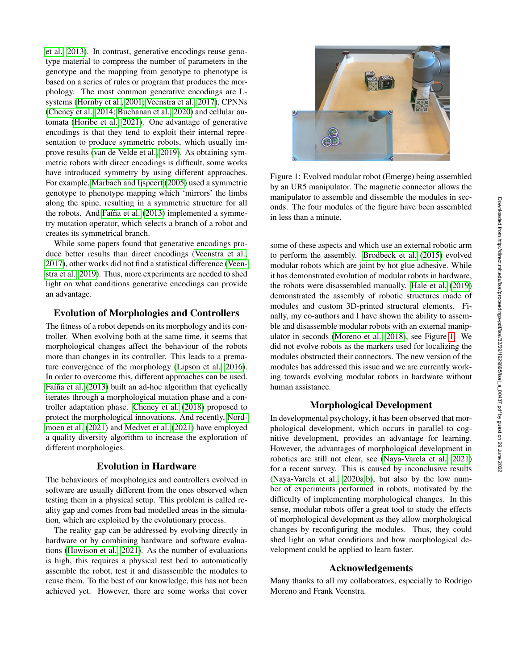[et al., 2013\)](#page-2-9). In contrast, generative encodings reuse genotype material to compress the number of parameters in the genotype and the mapping from genotype to phenotype is based on a series of rules or program that produces the morphology. The most common generative encodings are Lsystems [\(Hornby et al., 2001;](#page-2-17) [Veenstra et al., 2017\)](#page-3-6), CPNNs [\(Cheney et al., 2014;](#page-2-12) [Buchanan et al., 2020\)](#page-2-13) and cellular automata [\(Horibe et al., 2021\)](#page-2-18). One advantage of generative encodings is that they tend to exploit their internal representation to produce symmetric robots, which usually improve results [\(van de Velde et al., 2019\)](#page-3-7). As obtaining symmetric robots with direct encodings is difficult, some works have introduced symmetry by using different approaches. For example, [Marbach and Ijspeert](#page-2-19) [\(2005\)](#page-2-19) used a symmetric genotype to phenotype mapping which 'mirrors' the limbs along the spine, resulting in a symmetric structure for all the robots. And Faíña et al. [\(2013\)](#page-2-9) implemented a symmetry mutation operator, which selects a branch of a robot and creates its symmetrical branch.

While some papers found that generative encodings produce better results than direct encodings [\(Veenstra et al.,](#page-3-6) [2017\)](#page-3-6), other works did not find a statistical difference [\(Veen](#page-3-8)[stra et al., 2019\)](#page-3-8). Thus, more experiments are needed to shed light on what conditions generative encodings can provide an advantage.

## Evolution of Morphologies and Controllers

The fitness of a robot depends on its morphology and its controller. When evolving both at the same time, it seems that morphological changes affect the behaviour of the robots more than changes in its controller. This leads to a premature convergence of the morphology [\(Lipson et al., 2016\)](#page-2-20). In order to overcome this, different approaches can be used. Faíña et al. [\(2013\)](#page-2-9) built an ad-hoc algorithm that cyclically iterates through a morphological mutation phase and a controller adaptation phase. [Cheney et al.](#page-2-21) [\(2018\)](#page-2-21) proposed to protect the morphological innovations. And recently, [Nord](#page-3-9)[moen et al.](#page-3-9) [\(2021\)](#page-3-9) and [Medvet et al.](#page-2-22) [\(2021\)](#page-2-22) have employed a quality diversity algorithm to increase the exploration of different morphologies.

## Evolution in Hardware

The behaviours of morphologies and controllers evolved in software are usually different from the ones observed when testing them in a physical setup. This problem is called reality gap and comes from bad modelled areas in the simulation, which are exploited by the evolutionary process.

The reality gap can be addressed by evolving directly in hardware or by combining hardware and software evaluations [\(Howison et al., 2021\)](#page-2-23). As the number of evaluations is high, this requires a physical test bed to automatically assemble the robot, test it and disassemble the modules to reuse them. To the best of our knowledge, this has not been achieved yet. However, there are some works that cover



Figure 1: Evolved modular robot (Emerge) being assembled by an UR5 manipulator. The magnetic connector allows the manipulator to assemble and dissemble the modules in seconds. The four modules of the figure have been assembled in less than a minute.

<span id="page-1-0"></span>some of these aspects and which use an external robotic arm to perform the assembly. [Brodbeck et al.](#page-2-10) [\(2015\)](#page-2-10) evolved modular robots which are joint by hot glue adhesive. While it has demonstrated evolution of modular robots in hardware, the robots were disassembled manually. [Hale et al.](#page-2-1) [\(2019\)](#page-2-1) demonstrated the assembly of robotic structures made of modules and custom 3D-printed structural elements. Finally, my co-authors and I have shown the ability to assemble and disassemble modular robots with an external manipulator in seconds [\(Moreno et al., 2018\)](#page-2-24), see Figure [1.](#page-1-0) We did not evolve robots as the markers used for localizing the modules obstructed their connectors. The new version of the modules has addressed this issue and we are currently working towards evolving modular robots in hardware without human assistance.

## Morphological Development

In developmental psychology, it has been observed that morphological development, which occurs in parallel to cognitive development, provides an advantage for learning. However, the advantages of morphological development in robotics are still not clear, see [\(Naya-Varela et al., 2021\)](#page-2-25) for a recent survey. This is caused by inconclusive results [\(Naya-Varela et al., 2020a,](#page-2-26)[b\)](#page-3-10), but also by the low number of experiments performed in robots, motivated by the difficulty of implementing morphological changes. In this sense, modular robots offer a great tool to study the effects of morphological development as they allow morphological changes by reconfiguring the modules. Thus, they could shed light on what conditions and how morphological development could be applied to learn faster.

### Acknowledgements

Many thanks to all my collaborators, especially to Rodrigo Moreno and Frank Veenstra.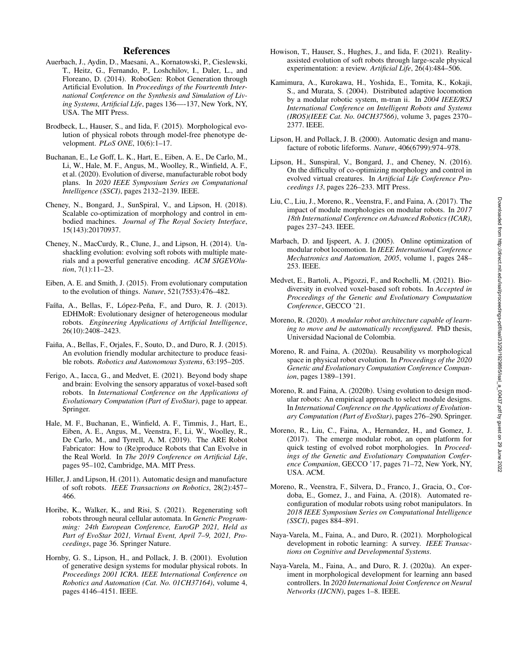- <span id="page-2-3"></span>Auerbach, J., Aydin, D., Maesani, A., Kornatowski, P., Cieslewski, T., Heitz, G., Fernando, P., Loshchilov, I., Daler, L., and Floreano, D. (2014). RoboGen: Robot Generation through Artificial Evolution. In *Proceedings of the Fourteenth International Conference on the Synthesis and Simulation of Living Systems, Artificial Life*, pages 136—-137, New York, NY, USA. The MIT Press.
- <span id="page-2-10"></span>Brodbeck, L., Hauser, S., and Iida, F. (2015). Morphological evolution of physical robots through model-free phenotype development. *PLoS ONE*, 10(6):1–17.
- <span id="page-2-13"></span>Buchanan, E., Le Goff, L. K., Hart, E., Eiben, A. E., De Carlo, M., Li, W., Hale, M. F., Angus, M., Woolley, R., Winfield, A. F., et al. (2020). Evolution of diverse, manufacturable robot body plans. In *2020 IEEE Symposium Series on Computational Intelligence (SSCI)*, pages 2132–2139. IEEE.
- <span id="page-2-21"></span>Cheney, N., Bongard, J., SunSpiral, V., and Lipson, H. (2018). Scalable co-optimization of morphology and control in embodied machines. *Journal of The Royal Society Interface*, 15(143):20170937.
- <span id="page-2-12"></span>Cheney, N., MacCurdy, R., Clune, J., and Lipson, H. (2014). Unshackling evolution: evolving soft robots with multiple materials and a powerful generative encoding. *ACM SIGEVOlution*, 7(1):11–23.
- <span id="page-2-0"></span>Eiben, A. E. and Smith, J. (2015). From evolutionary computation to the evolution of things. *Nature*, 521(7553):476–482.
- <span id="page-2-9"></span>Faíña, A., Bellas, F., López-Peña, F., and Duro, R. J. (2013). EDHMoR: Evolutionary designer of heterogeneous modular robots. *Engineering Applications of Artificial Intelligence*, 26(10):2408–2423.
- <span id="page-2-4"></span>Faiña, A., Bellas, F., Orjales, F., Souto, D., and Duro, R. J. (2015). An evolution friendly modular architecture to produce feasible robots. *Robotics and Autonomous Systems*, 63:195–205.
- <span id="page-2-15"></span>Ferigo, A., Iacca, G., and Medvet, E. (2021). Beyond body shape and brain: Evolving the sensory apparatus of voxel-based soft robots. In *International Conference on the Applications of Evolutionary Computation (Part of EvoStar)*, page to appear. Springer.
- <span id="page-2-1"></span>Hale, M. F., Buchanan, E., Winfield, A. F., Timmis, J., Hart, E., Eiben, A. E., Angus, M., Veenstra, F., Li, W., Woolley, R., De Carlo, M., and Tyrrell, A. M. (2019). The ARE Robot Fabricator: How to (Re)produce Robots that Can Evolve in the Real World. In *The 2019 Conference on Artificial Life*, pages 95–102, Cambridge, MA. MIT Press.
- <span id="page-2-2"></span>Hiller, J. and Lipson, H. (2011). Automatic design and manufacture of soft robots. *IEEE Transactions on Robotics*, 28(2):457– 466.
- <span id="page-2-18"></span>Horibe, K., Walker, K., and Risi, S. (2021). Regenerating soft robots through neural cellular automata. In *Genetic Programming: 24th European Conference, EuroGP 2021, Held as Part of EvoStar 2021, Virtual Event, April 7–9, 2021, Proceedings*, page 36. Springer Nature.
- <span id="page-2-17"></span>Hornby, G. S., Lipson, H., and Pollack, J. B. (2001). Evolution of generative design systems for modular physical robots. In *Proceedings 2001 ICRA. IEEE International Conference on Robotics and Automation (Cat. No. 01CH37164)*, volume 4, pages 4146–4151. IEEE.
- <span id="page-2-23"></span>Howison, T., Hauser, S., Hughes, J., and Iida, F. (2021). Realityassisted evolution of soft robots through large-scale physical experimentation: a review. *Artificial Life*, 26(4):484–506.
- <span id="page-2-11"></span>Kamimura, A., Kurokawa, H., Yoshida, E., Tomita, K., Kokaji, S., and Murata, S. (2004). Distributed adaptive locomotion by a modular robotic system, m-tran ii. In *2004 IEEE/RSJ International Conference on Intelligent Robots and Systems (IROS)(IEEE Cat. No. 04CH37566)*, volume 3, pages 2370– 2377. IEEE.
- <span id="page-2-16"></span>Lipson, H. and Pollack, J. B. (2000). Automatic design and manufacture of robotic lifeforms. *Nature*, 406(6799):974–978.
- <span id="page-2-20"></span>Lipson, H., Sunspiral, V., Bongard, J., and Cheney, N. (2016). On the difficulty of co-optimizing morphology and control in evolved virtual creatures. In *Artificial Life Conference Proceedings 13*, pages 226–233. MIT Press.
- <span id="page-2-7"></span>Liu, C., Liu, J., Moreno, R., Veenstra, F., and Faina, A. (2017). The impact of module morphologies on modular robots. In *2017 18th International Conference on Advanced Robotics (ICAR)*, pages 237–243. IEEE.
- <span id="page-2-19"></span>Marbach, D. and Ijspeert, A. J. (2005). Online optimization of modular robot locomotion. In *IEEE International Conference Mechatronics and Automation, 2005*, volume 1, pages 248– 253. IEEE.
- <span id="page-2-22"></span>Medvet, E., Bartoli, A., Pigozzi, F., and Rochelli, M. (2021). Biodiversity in evolved voxel-based soft robots. In *Accepted in Proceedings of the Genetic and Evolutionary Computation Conference*, GECCO '21.
- <span id="page-2-14"></span>Moreno, R. (2020). *A modular robot architecture capable of learning to move and be automatically reconfigured*. PhD thesis, Universidad Nacional de Colombia.
- <span id="page-2-6"></span>Moreno, R. and Faina, A. (2020a). Reusability vs morphological space in physical robot evolution. In *Proceedings of the 2020 Genetic and Evolutionary Computation Conference Companion*, pages 1389–1391.
- <span id="page-2-8"></span>Moreno, R. and Faina, A. (2020b). Using evolution to design modular robots: An empirical approach to select module designs. In *International Conference on the Applications of Evolutionary Computation (Part of EvoStar)*, pages 276–290. Springer.
- <span id="page-2-5"></span>Moreno, R., Liu, C., Faina, A., Hernandez, H., and Gomez, J. (2017). The emerge modular robot, an open platform for quick testing of evolved robot morphologies. In *Proceedings of the Genetic and Evolutionary Computation Conference Companion*, GECCO '17, pages 71–72, New York, NY, USA. ACM.
- <span id="page-2-24"></span>Moreno, R., Veenstra, F., Silvera, D., Franco, J., Gracia, O., Cordoba, E., Gomez, J., and Faina, A. (2018). Automated reconfiguration of modular robots using robot manipulators. In *2018 IEEE Symposium Series on Computational Intelligence (SSCI)*, pages 884–891.
- <span id="page-2-25"></span>Naya-Varela, M., Faina, A., and Duro, R. (2021). Morphological development in robotic learning: A survey. *IEEE Transactions on Cognitive and Developmental Systems*.
- <span id="page-2-26"></span>Naya-Varela, M., Faina, A., and Duro, R. J. (2020a). An experiment in morphological development for learning ann based controllers. In *2020 International Joint Conference on Neural Networks (IJCNN)*, pages 1–8. IEEE.